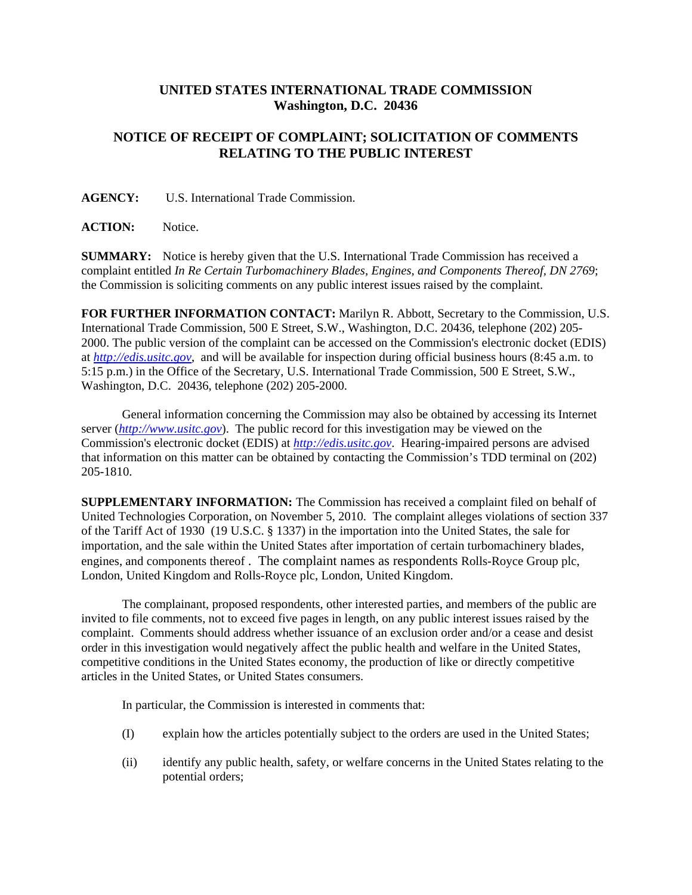## **UNITED STATES INTERNATIONAL TRADE COMMISSION Washington, D.C. 20436**

## **NOTICE OF RECEIPT OF COMPLAINT; SOLICITATION OF COMMENTS RELATING TO THE PUBLIC INTEREST**

**AGENCY:** U.S. International Trade Commission.

**ACTION:** Notice.

**SUMMARY:** Notice is hereby given that the U.S. International Trade Commission has received a complaint entitled *In Re Certain Turbomachinery Blades, Engines, and Components Thereof, DN 2769*; the Commission is soliciting comments on any public interest issues raised by the complaint.

**FOR FURTHER INFORMATION CONTACT:** Marilyn R. Abbott, Secretary to the Commission, U.S. International Trade Commission, 500 E Street, S.W., Washington, D.C. 20436, telephone (202) 205- 2000. The public version of the complaint can be accessed on the Commission's electronic docket (EDIS) at *http://edis.usitc.gov*, and will be available for inspection during official business hours (8:45 a.m. to 5:15 p.m.) in the Office of the Secretary, U.S. International Trade Commission, 500 E Street, S.W., Washington, D.C. 20436, telephone (202) 205-2000.

General information concerning the Commission may also be obtained by accessing its Internet server (*http://www.usitc.gov*). The public record for this investigation may be viewed on the Commission's electronic docket (EDIS) at *http://edis.usitc.gov*. Hearing-impaired persons are advised that information on this matter can be obtained by contacting the Commission's TDD terminal on (202) 205-1810.

**SUPPLEMENTARY INFORMATION:** The Commission has received a complaint filed on behalf of United Technologies Corporation, on November 5, 2010. The complaint alleges violations of section 337 of the Tariff Act of 1930 (19 U.S.C. § 1337) in the importation into the United States, the sale for importation, and the sale within the United States after importation of certain turbomachinery blades, engines, and components thereof . The complaint names as respondents Rolls-Royce Group plc, London, United Kingdom and Rolls-Royce plc, London, United Kingdom.

The complainant, proposed respondents, other interested parties, and members of the public are invited to file comments, not to exceed five pages in length, on any public interest issues raised by the complaint. Comments should address whether issuance of an exclusion order and/or a cease and desist order in this investigation would negatively affect the public health and welfare in the United States, competitive conditions in the United States economy, the production of like or directly competitive articles in the United States, or United States consumers.

In particular, the Commission is interested in comments that:

- (I) explain how the articles potentially subject to the orders are used in the United States;
- (ii) identify any public health, safety, or welfare concerns in the United States relating to the potential orders;